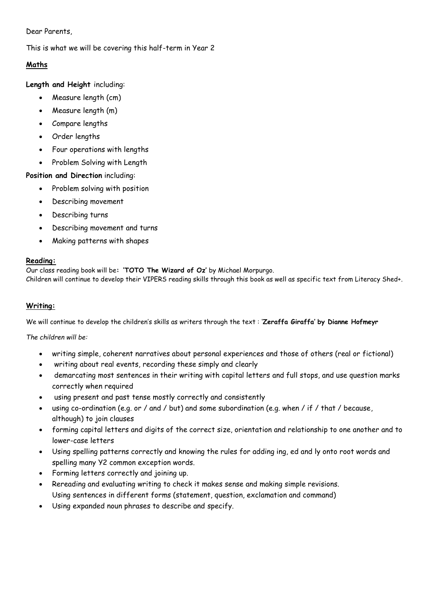### Dear Parents,

# This is what we will be covering this half-term in Year 2

# **Maths**

**Length and Height** including:

- Measure length (cm)
- Measure length (m)
- Compare lengths
- Order lengths
- Four operations with lengths
- Problem Solving with Length

# **Position and Direction** including:

- Problem solving with position
- Describing movement
- Describing turns
- Describing movement and turns
- Making patterns with shapes

# **Reading:**

Our class reading book will be**: 'TOTO The Wizard of Oz'** by Michael Morpurgo. Children will continue to develop their VIPERS reading skills through this book as well as specific text from Literacy Shed+.

# **Writing:**

We will continue to develop the children's skills as writers through the text : '**Zeraffa Giraffa' by Dianne Hofmeyr**

*The children will be:* 

- writing simple, coherent narratives about personal experiences and those of others (real or fictional)
- writing about real events, recording these simply and clearly
- demarcating most sentences in their writing with capital letters and full stops, and use question marks correctly when required
- using present and past tense mostly correctly and consistently
- using co-ordination (e.g. or / and / but) and some subordination (e.g. when / if / that / because, although) to join clauses
- forming capital letters and digits of the correct size, orientation and relationship to one another and to lower-case letters
- Using spelling patterns correctly and knowing the rules for adding ing, ed and ly onto root words and spelling many Y2 common exception words.
- Forming letters correctly and joining up.
- Rereading and evaluating writing to check it makes sense and making simple revisions. Using sentences in different forms (statement, question, exclamation and command)
- Using expanded noun phrases to describe and specify.